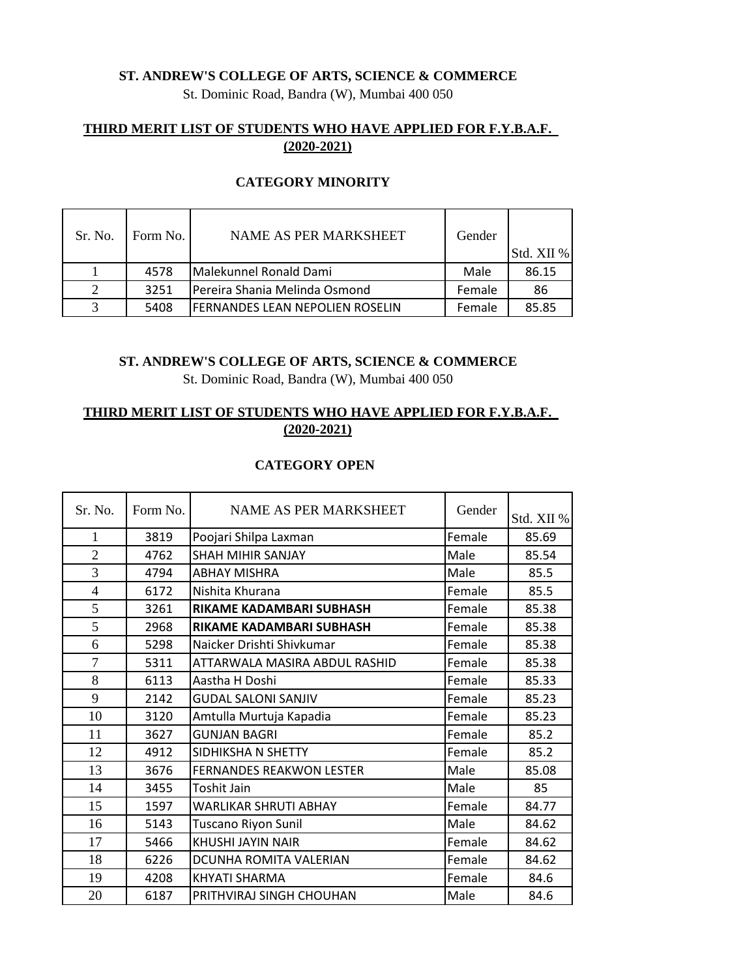### **ST. ANDREW'S COLLEGE OF ARTS, SCIENCE & COMMERCE**

St. Dominic Road, Bandra (W), Mumbai 400 050

# **THIRD MERIT LIST OF STUDENTS WHO HAVE APPLIED FOR F.Y.B.A.F. (2020-2021)**

| Sr. No. | Form No. | NAME AS PER MARKSHEET                   | Gender | Std. XII % |
|---------|----------|-----------------------------------------|--------|------------|
|         | 4578     | Malekunnel Ronald Dami                  | Male   | 86.15      |
| 2       | 3251     | Pereira Shania Melinda Osmond           | Female | 86         |
| 3       | 5408     | <b>IFERNANDES LEAN NEPOLIEN ROSELIN</b> | Female | 85.85      |

#### **CATEGORY MINORITY**

#### **ST. ANDREW'S COLLEGE OF ARTS, SCIENCE & COMMERCE**

St. Dominic Road, Bandra (W), Mumbai 400 050

# **THIRD MERIT LIST OF STUDENTS WHO HAVE APPLIED FOR F.Y.B.A.F. (2020-2021)**

# **CATEGORY OPEN**

| Sr. No.        | Form No. | NAME AS PER MARKSHEET           | Gender | Std. XII % |
|----------------|----------|---------------------------------|--------|------------|
| 1              | 3819     | Poojari Shilpa Laxman           | Female | 85.69      |
| $\overline{2}$ | 4762     | <b>SHAH MIHIR SANJAY</b>        | Male   | 85.54      |
| 3              | 4794     | <b>ABHAY MISHRA</b>             | Male   | 85.5       |
| $\overline{4}$ | 6172     | Nishita Khurana                 | Female | 85.5       |
| 5              | 3261     | RIKAME KADAMBARI SUBHASH        | Female | 85.38      |
| 5              | 2968     | RIKAME KADAMBARI SUBHASH        | Female | 85.38      |
| 6              | 5298     | Naicker Drishti Shivkumar       | Female | 85.38      |
| $\overline{7}$ | 5311     | ATTARWALA MASIRA ABDUL RASHID   | Female | 85.38      |
| 8              | 6113     | Aastha H Doshi                  | Female | 85.33      |
| 9              | 2142     | <b>GUDAL SALONI SANJIV</b>      | Female | 85.23      |
| 10             | 3120     | Amtulla Murtuja Kapadia         | Female | 85.23      |
| 11             | 3627     | <b>GUNJAN BAGRI</b>             | Female | 85.2       |
| 12             | 4912     | SIDHIKSHA N SHETTY              | Female | 85.2       |
| 13             | 3676     | <b>FERNANDES REAKWON LESTER</b> | Male   | 85.08      |
| 14             | 3455     | Toshit Jain                     | Male   | 85         |
| 15             | 1597     | WARLIKAR SHRUTI ABHAY           | Female | 84.77      |
| 16             | 5143     | Tuscano Riyon Sunil             | Male   | 84.62      |
| 17             | 5466     | KHUSHI JAYIN NAIR               | Female | 84.62      |
| 18             | 6226     | DCUNHA ROMITA VALERIAN          | Female | 84.62      |
| 19             | 4208     | KHYATI SHARMA                   | Female | 84.6       |
| 20             | 6187     | PRITHVIRAJ SINGH CHOUHAN        | Male   | 84.6       |